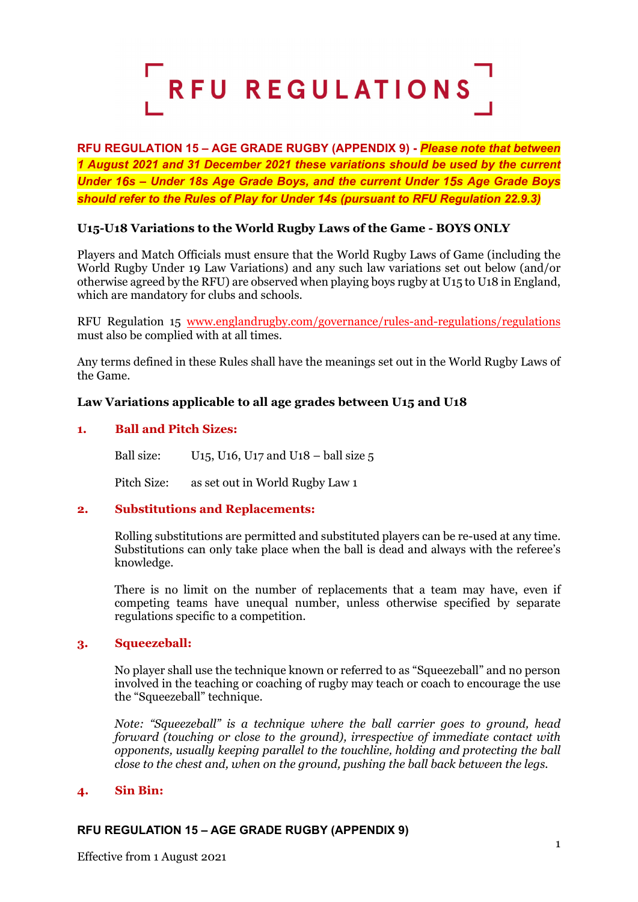

**RFU REGULATION 15 – AGE GRADE RUGBY (APPENDIX 9) -** *Please note that between 1 August 2021 and 31 December 2021 these variations should be used by the current Under 16s – Under 18s Age Grade Boys, and the current Under 15s Age Grade Boys should refer to the Rules of Play for Under 14s (pursuant to RFU Regulation 22.9.3)*

# **U15-U18 Variations to the World Rugby Laws of the Game - BOYS ONLY**

Players and Match Officials must ensure that the World Rugby Laws of Game (including the World Rugby Under 19 Law Variations) and any such law variations set out below (and/or otherwise agreed by the RFU) are observed when playing boys rugby at U15 to U18 in England, which are mandatory for clubs and schools.

RFU Regulation 15 [www.englandrugby.com/governance/rules-and-regulations/regulations](http://www.englandrugby.com/governance/rules-and-regulations/regulations) must also be complied with at all times.

Any terms defined in these Rules shall have the meanings set out in the World Rugby Laws of the Game.

# **Law Variations applicable to all age grades between U15 and U18**

### **1. Ball and Pitch Sizes:**

Ball size:  $U15$ ,  $U16$ ,  $U17$  and  $U18$  – ball size 5

Pitch Size: as set out in World Rugby Law 1

### **2. Substitutions and Replacements:**

Rolling substitutions are permitted and substituted players can be re-used at any time. Substitutions can only take place when the ball is dead and always with the referee's knowledge.

There is no limit on the number of replacements that a team may have, even if competing teams have unequal number, unless otherwise specified by separate regulations specific to a competition.

### **3. Squeezeball:**

No player shall use the technique known or referred to as "Squeezeball" and no person involved in the teaching or coaching of rugby may teach or coach to encourage the use the "Squeezeball" technique.

*Note: "Squeezeball" is a technique where the ball carrier goes to ground, head forward (touching or close to the ground), irrespective of immediate contact with opponents, usually keeping parallel to the touchline, holding and protecting the ball close to the chest and, when on the ground, pushing the ball back between the legs.*

### **4. Sin Bin:**

### **RFU REGULATION 15 – AGE GRADE RUGBY (APPENDIX 9)**